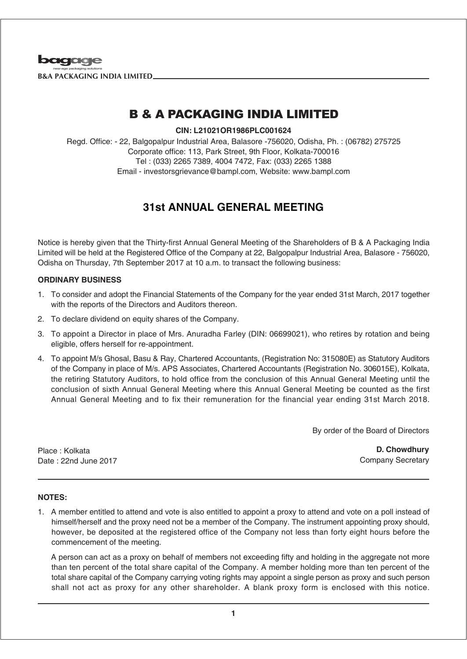

# B & A PACKAGING INDIA LIMITED

**CIN: L21021OR1986PLC001624**

Regd. Office: - 22, Balgopalpur Industrial Area, Balasore -756020, Odisha, Ph. : (06782) 275725 Corporate office: 113, Park Street, 9th Floor, Kolkata-700016 Tel : (033) 2265 7389, 4004 7472, Fax: (033) 2265 1388 Email - investorsgrievance@bampl.com, Website: www.bampl.com

## **31st ANNUAL GENERAL MEETING**

Notice is hereby given that the Thirty-first Annual General Meeting of the Shareholders of B & A Packaging India Limited will be held at the Registered Office of the Company at 22, Balgopalpur Industrial Area, Balasore - 756020, Odisha on Thursday, 7th September 2017 at 10 a.m. to transact the following business:

#### **ORDINARY BUSINESS**

- 1. To consider and adopt the Financial Statements of the Company for the year ended 31st March, 2017 together with the reports of the Directors and Auditors thereon.
- 2. To declare dividend on equity shares of the Company.
- 3. To appoint a Director in place of Mrs. Anuradha Farley (DIN: 06699021), who retires by rotation and being eligible, offers herself for re-appointment.
- 4. To appoint M/s Ghosal, Basu & Ray, Chartered Accountants, (Registration No: 315080E) as Statutory Auditors of the Company in place of M/s. APS Associates, Chartered Accountants (Registration No. 306015E), Kolkata, the retiring Statutory Auditors, to hold office from the conclusion of this Annual General Meeting until the conclusion of sixth Annual General Meeting where this Annual General Meeting be counted as the first Annual General Meeting and to fix their remuneration for the financial year ending 31st March 2018.

By order of the Board of Directors

Place : Kolkata Date : 22nd June 2017

**D. Chowdhury** Company Secretary

#### **NOTES:**

1. A member entitled to attend and vote is also entitled to appoint a proxy to attend and vote on a poll instead of himself/herself and the proxy need not be a member of the Company. The instrument appointing proxy should, however, be deposited at the registered office of the Company not less than forty eight hours before the commencement of the meeting.

A person can act as a proxy on behalf of members not exceeding fifty and holding in the aggregate not more than ten percent of the total share capital of the Company. A member holding more than ten percent of the total share capital of the Company carrying voting rights may appoint a single person as proxy and such person shall not act as proxy for any other shareholder. A blank proxy form is enclosed with this notice.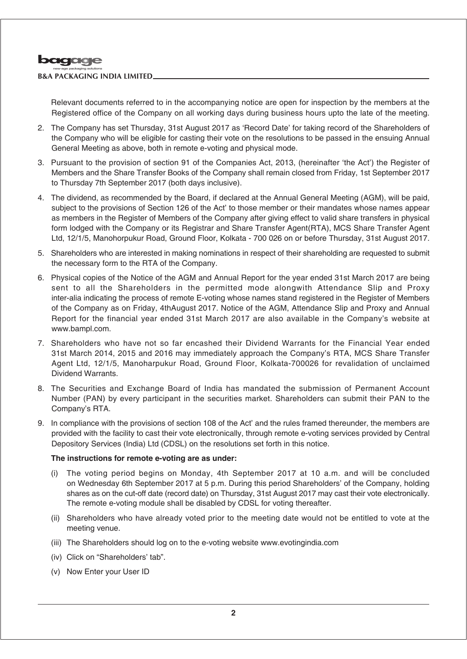

#### **B&A PACKAGING INDIA LIMITED**

Relevant documents referred to in the accompanying notice are open for inspection by the members at the Registered office of the Company on all working days during business hours upto the late of the meeting.

- 2. The Company has set Thursday, 31st August 2017 as 'Record Date' for taking record of the Shareholders of the Company who will be eligible for casting their vote on the resolutions to be passed in the ensuing Annual General Meeting as above, both in remote e-voting and physical mode.
- 3. Pursuant to the provision of section 91 of the Companies Act, 2013, (hereinafter 'the Act') the Register of Members and the Share Transfer Books of the Company shall remain closed from Friday, 1st September 2017 to Thursday 7th September 2017 (both days inclusive).
- 4. The dividend, as recommended by the Board, if declared at the Annual General Meeting (AGM), will be paid, subject to the provisions of Section 126 of the Act' to those member or their mandates whose names appear as members in the Register of Members of the Company after giving effect to valid share transfers in physical form lodged with the Company or its Registrar and Share Transfer Agent(RTA), MCS Share Transfer Agent Ltd, 12/1/5, Manohorpukur Road, Ground Floor, Kolkata - 700 026 on or before Thursday, 31st August 2017.
- 5. Shareholders who are interested in making nominations in respect of their shareholding are requested to submit the necessary form to the RTA of the Company.
- 6. Physical copies of the Notice of the AGM and Annual Report for the year ended 31st March 2017 are being sent to all the Shareholders in the permitted mode alongwith Attendance Slip and Proxy inter-alia indicating the process of remote E-voting whose names stand registered in the Register of Members of the Company as on Friday, 4thAugust 2017. Notice of the AGM, Attendance Slip and Proxy and Annual Report for the financial year ended 31st March 2017 are also available in the Company's website at www.bampl.com.
- 7. Shareholders who have not so far encashed their Dividend Warrants for the Financial Year ended 31st March 2014, 2015 and 2016 may immediately approach the Company's RTA, MCS Share Transfer Agent Ltd, 12/1/5, Manoharpukur Road, Ground Floor, Kolkata-700026 for revalidation of unclaimed Dividend Warrants.
- 8. The Securities and Exchange Board of India has mandated the submission of Permanent Account Number (PAN) by every participant in the securities market. Shareholders can submit their PAN to the Company's RTA.
- 9. In compliance with the provisions of section 108 of the Act' and the rules framed thereunder, the members are provided with the facility to cast their vote electronically, through remote e-voting services provided by Central Depository Services (India) Ltd (CDSL) on the resolutions set forth in this notice.

#### **The instructions for remote e-voting are as under:**

- (i) The voting period begins on Monday, 4th September 2017 at 10 a.m. and will be concluded on Wednesday 6th September 2017 at 5 p.m. During this period Shareholders' of the Company, holding shares as on the cut-off date (record date) on Thursday, 31st August 2017 may cast their vote electronically. The remote e-voting module shall be disabled by CDSL for voting thereafter.
- (ii) Shareholders who have already voted prior to the meeting date would not be entitled to vote at the meeting venue.
- (iii) The Shareholders should log on to the e-voting website www.evotingindia.com
- (iv) Click on "Shareholders' tab".
- (v) Now Enter your User ID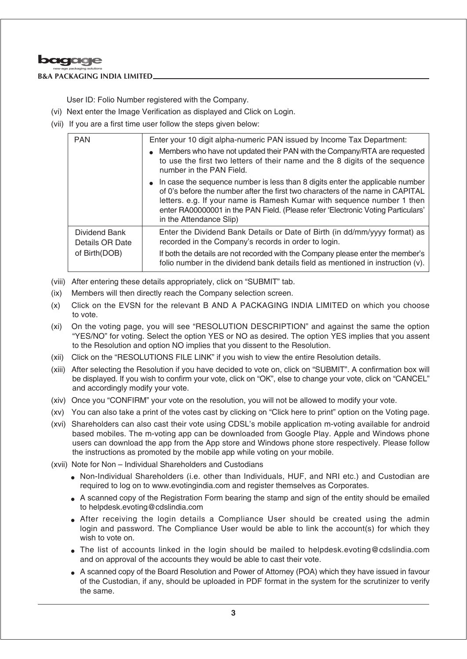

#### **B&A PACKAGING INDIA LIMITED**

User ID: Folio Number registered with the Company.

- (vi) Next enter the Image Verification as displayed and Click on Login.
- (vii) If you are a first time user follow the steps given below:

| <b>PAN</b>                       | Enter your 10 digit alpha-numeric PAN issued by Income Tax Department:                                                                                                                                                                                                                                                                                     |
|----------------------------------|------------------------------------------------------------------------------------------------------------------------------------------------------------------------------------------------------------------------------------------------------------------------------------------------------------------------------------------------------------|
|                                  | • Members who have not updated their PAN with the Company/RTA are requested<br>to use the first two letters of their name and the 8 digits of the sequence<br>number in the PAN Field.                                                                                                                                                                     |
|                                  | • In case the sequence number is less than 8 digits enter the applicable number<br>of 0's before the number after the first two characters of the name in CAPITAL<br>letters. e.g. If your name is Ramesh Kumar with sequence number 1 then<br>enter RA00000001 in the PAN Field. (Please refer 'Electronic Voting Particulars'<br>in the Attendance Slip) |
| Dividend Bank<br>Details OR Date | Enter the Dividend Bank Details or Date of Birth (in dd/mm/yyyy format) as<br>recorded in the Company's records in order to login.                                                                                                                                                                                                                         |
| of Birth(DOB)                    | If both the details are not recorded with the Company please enter the member's<br>folio number in the dividend bank details field as mentioned in instruction (v).                                                                                                                                                                                        |

- (viii) After entering these details appropriately, click on "SUBMIT" tab.
- (ix) Members will then directly reach the Company selection screen.
- (x) Click on the EVSN for the relevant B AND A PACKAGING INDIA LIMITED on which you choose to vote.
- (xi) On the voting page, you will see "RESOLUTION DESCRIPTION" and against the same the option "YES/NO" for voting. Select the option YES or NO as desired. The option YES implies that you assent to the Resolution and option NO implies that you dissent to the Resolution.
- (xii) Click on the "RESOLUTIONS FILE LINK" if you wish to view the entire Resolution details.
- (xiii) After selecting the Resolution if you have decided to vote on, click on "SUBMIT". A confirmation box will be displayed. If you wish to confirm your vote, click on "OK", else to change your vote, click on "CANCEL" and accordingly modify your vote.
- (xiv) Once you "CONFIRM" your vote on the resolution, you will not be allowed to modify your vote.
- (xv) You can also take a print of the votes cast by clicking on "Click here to print" option on the Voting page.
- (xvi) Shareholders can also cast their vote using CDSL's mobile application m-voting available for android based mobiles. The m-voting app can be downloaded from Google Play. Apple and Windows phone users can download the app from the App store and Windows phone store respectively. Please follow the instructions as promoted by the mobile app while voting on your mobile.
- (xvii) Note for Non Individual Shareholders and Custodians
	- Non-Individual Shareholders (i.e. other than Individuals, HUF, and NRI etc.) and Custodian are required to log on to www.evotingindia.com and register themselves as Corporates.
	- A scanned copy of the Registration Form bearing the stamp and sign of the entity should be emailed to helpdesk.evoting@cdslindia.com
	- After receiving the login details a Compliance User should be created using the admin login and password. The Compliance User would be able to link the account(s) for which they wish to vote on.
	- The list of accounts linked in the login should be mailed to helpdesk.evoting@cdslindia.com and on approval of the accounts they would be able to cast their vote.
	- A scanned copy of the Board Resolution and Power of Attorney (POA) which they have issued in favour of the Custodian, if any, should be uploaded in PDF format in the system for the scrutinizer to verify the same.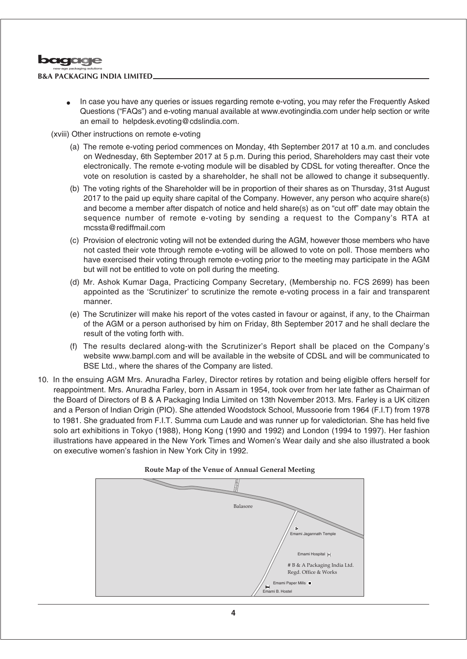

#### **B&A PACKAGING INDIA LIMITED**

In case you have any queries or issues regarding remote e-voting, you may refer the Frequently Asked Questions ("FAQs") and e-voting manual available at www.evotingindia.com under help section or write an email to helpdesk.evoting@cdslindia.com.

(xviii) Other instructions on remote e-voting

- (a) The remote e-voting period commences on Monday, 4th September 2017 at 10 a.m. and concludes on Wednesday, 6th September 2017 at 5 p.m. During this period, Shareholders may cast their vote electronically. The remote e-voting module will be disabled by CDSL for voting thereafter. Once the vote on resolution is casted by a shareholder, he shall not be allowed to change it subsequently.
- (b) The voting rights of the Shareholder will be in proportion of their shares as on Thursday, 31st August 2017 to the paid up equity share capital of the Company. However, any person who acquire share(s) and become a member after dispatch of notice and held share(s) as on "cut off" date may obtain the sequence number of remote e-voting by sending a request to the Company's RTA at mcssta@rediffmail.com
- (c) Provision of electronic voting will not be extended during the AGM, however those members who have not casted their vote through remote e-voting will be allowed to vote on poll. Those members who have exercised their voting through remote e-voting prior to the meeting may participate in the AGM but will not be entitled to vote on poll during the meeting.
- (d) Mr. Ashok Kumar Daga, Practicing Company Secretary, (Membership no. FCS 2699) has been appointed as the 'Scrutinizer' to scrutinize the remote e-voting process in a fair and transparent manner.
- (e) The Scrutinizer will make his report of the votes casted in favour or against, if any, to the Chairman of the AGM or a person authorised by him on Friday, 8th September 2017 and he shall declare the result of the voting forth with.
- (f) The results declared along-with the Scrutinizer's Report shall be placed on the Company's website www.bampl.com and will be available in the website of CDSL and will be communicated to BSE Ltd., where the shares of the Company are listed.
- 10. In the ensuing AGM Mrs. Anuradha Farley, Director retires by rotation and being eligible offers herself for reappointment. Mrs. Anuradha Farley, born in Assam in 1954, took over from her late father as Chairman of the Board of Directors of B & A Packaging India Limited on 13th November 2013. Mrs. Farley is a UK citizen and a Person of Indian Origin (PIO). She attended Woodstock School, Mussoorie from 1964 (F.I.T) from 1978 to 1981. She graduated from F.I.T. Summa cum Laude and was runner up for valedictorian. She has held five solo art exhibitions in Tokyo (1988), Hong Kong (1990 and 1992) and London (1994 to 1997). Her fashion illustrations have appeared in the New York Times and Women's Wear daily and she also illustrated a book on executive women's fashion in New York City in 1992.



#### **Route Map of the Venue of Annual General Meeting**